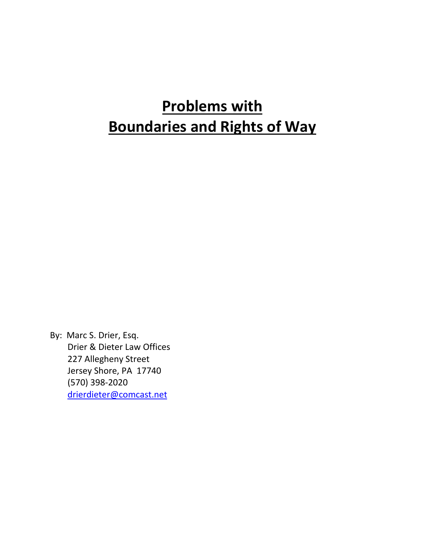# **Problems with Boundaries and Rights of Way**

By: Marc S. Drier, Esq. Drier & Dieter Law Offices 227 Allegheny Street Jersey Shore, PA 17740 (570) 398‐2020 drierdieter@comcast.net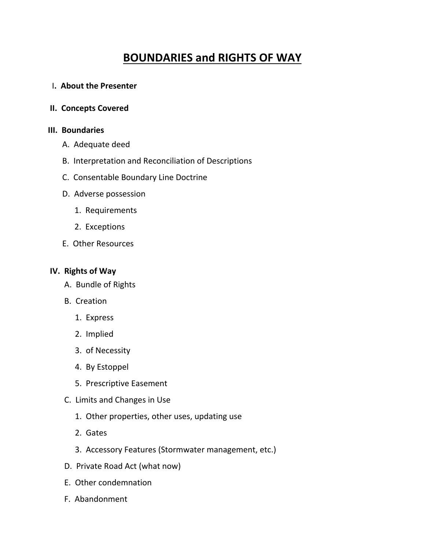# **BOUNDARIES and RIGHTS OF WAY**

#### I**. About the Presenter**

#### **II. Concepts Covered**

#### **III.** Boundaries

- A. Adequate deed
- B. Interpretation and Reconciliation of Descriptions
- C. Consentable Boundary Line Doctrine
- D. Adverse possession
	- 1. Requirements
	- 2. Exceptions
- E. Other Resources

#### **IV. Rights of Way**

- A. Bundle of Rights
- B. Creation
	- 1. Express
	- 2. Implied
	- 3. of Necessity
	- 4. By Estoppel
	- 5. Prescriptive Easement
- C. Limits and Changes in Use
	- 1. Other properties, other uses, updating use
	- 2. Gates
	- 3. Accessory Features (Stormwater management, etc.)
- D. Private Road Act (what now)
- E. Other condemnation
- F. Abandonment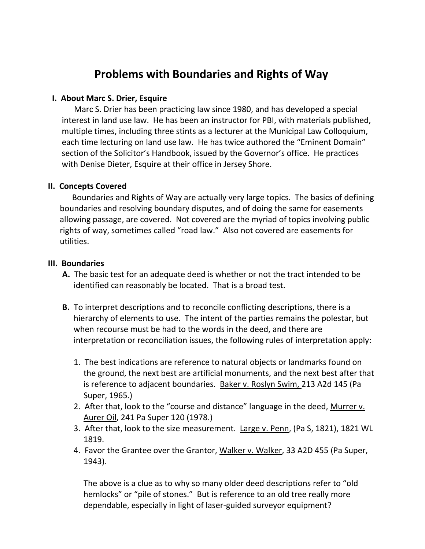# **Problems with Boundaries and Rights of Way**

# **I. About Marc S. Drier, Esquire**

 Marc S. Drier has been practicing law since 1980, and has developed a special interest in land use law. He has been an instructor for PBI, with materials published, multiple times, including three stints as a lecturer at the Municipal Law Colloquium, each time lecturing on land use law. He has twice authored the "Eminent Domain" section of the Solicitor's Handbook, issued by the Governor's office. He practices with Denise Dieter, Esquire at their office in Jersey Shore.

## **II. Concepts Covered**

 Boundaries and Rights of Way are actually very large topics. The basics of defining boundaries and resolving boundary disputes, and of doing the same for easements allowing passage, are covered. Not covered are the myriad of topics involving public rights of way, sometimes called "road law." Also not covered are easements for utilities.

#### **III.** Boundaries

- **A.** The basic test for an adequate deed is whether or not the tract intended to be identified can reasonably be located. That is a broad test.
- **B.** To interpret descriptions and to reconcile conflicting descriptions, there is a hierarchy of elements to use. The intent of the parties remains the polestar, but when recourse must be had to the words in the deed, and there are interpretation or reconciliation issues, the following rules of interpretation apply:
	- 1. The best indications are reference to natural objects or landmarks found on the ground, the next best are artificial monuments, and the next best after that is reference to adjacent boundaries. Baker v. Roslyn Swim, 213 A2d 145 (Pa Super, 1965.)
	- 2. After that, look to the "course and distance" language in the deed, Murrer v. Aurer Oil, 241 Pa Super 120 (1978.)
	- 3. After that, look to the size measurement. Large v. Penn, (Pa S, 1821), 1821 WL 1819.
	- 4. Favor the Grantee over the Grantor, Walker v. Walker, 33 A2D 455 (Pa Super, 1943).

The above is a clue as to why so many older deed descriptions refer to "old hemlocks" or "pile of stones." But is reference to an old tree really more dependable, especially in light of laser‐guided surveyor equipment?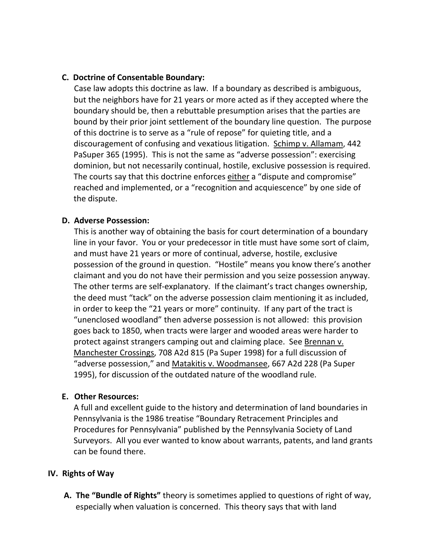## **C. Doctrine of Consentable Boundary:**

 Case law adopts this doctrine as law. If a boundary as described is ambiguous, but the neighbors have for 21 years or more acted as if they accepted where the boundary should be, then a rebuttable presumption arises that the parties are bound by their prior joint settlement of the boundary line question. The purpose of this doctrine is to serve as a "rule of repose" for quieting title, and a discouragement of confusing and vexatious litigation. Schimp v. Allamam, 442 PaSuper 365 (1995). This is not the same as "adverse possession": exercising dominion, but not necessarily continual, hostile, exclusive possession is required. The courts say that this doctrine enforces either a "dispute and compromise" reached and implemented, or a "recognition and acquiescence" by one side of the dispute.

#### **D. Adverse Possession:**

 This is another way of obtaining the basis for court determination of a boundary line in your favor. You or your predecessor in title must have some sort of claim, and must have 21 years or more of continual, adverse, hostile, exclusive possession of the ground in question. "Hostile" means you know there's another claimant and you do not have their permission and you seize possession anyway. The other terms are self-explanatory. If the claimant's tract changes ownership, the deed must "tack" on the adverse possession claim mentioning it as included, in order to keep the "21 years or more" continuity. If any part of the tract is "unenclosed woodland" then adverse possession is not allowed: this provision goes back to 1850, when tracts were larger and wooded areas were harder to protect against strangers camping out and claiming place. See Brennan v. Manchester Crossings, 708 A2d 815 (Pa Super 1998) for a full discussion of "adverse possession," and Matakitis v. Woodmansee, 667 A2d 228 (Pa Super 1995), for discussion of the outdated nature of the woodland rule.

#### **E. Other Resources:**

A full and excellent guide to the history and determination of land boundaries in Pennsylvania is the 1986 treatise "Boundary Retracement Principles and Procedures for Pennsylvania" published by the Pennsylvania Society of Land Surveyors. All you ever wanted to know about warrants, patents, and land grants can be found there.

#### **IV. Rights of Way**

**A. The "Bundle of Rights"** theory is sometimes applied to questions of right of way, especially when valuation is concerned. This theory says that with land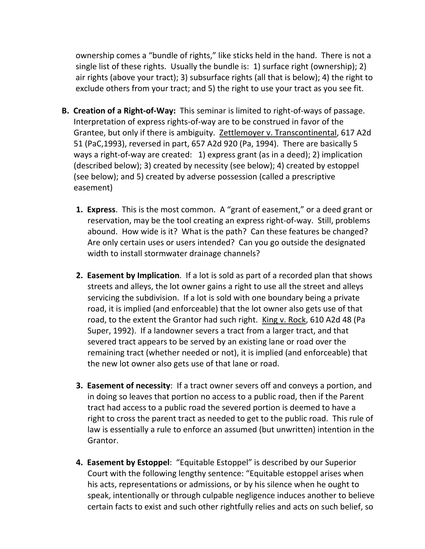ownership comes a "bundle of rights," like sticks held in the hand. There is not a single list of these rights. Usually the bundle is: 1) surface right (ownership); 2) air rights (above your tract); 3) subsurface rights (all that is below); 4) the right to exclude others from your tract; and 5) the right to use your tract as you see fit.

- **B. Creation of a Right‐of‐Way:** This seminar is limited to right‐of‐ways of passage. Interpretation of express rights‐of‐way are to be construed in favor of the Grantee, but only if there is ambiguity. Zettlemoyer v. Transcontinental, 617 A2d 51 (PaC,1993), reversed in part, 657 A2d 920 (Pa, 1994). There are basically 5 ways a right‐of‐way are created: 1) express grant (as in a deed); 2) implication (described below); 3) created by necessity (see below); 4) created by estoppel (see below); and 5) created by adverse possession (called a prescriptive easement)
	- **1. Express**.This is the most common. A "grant of easement," or a deed grant or reservation, may be the tool creating an express right‐of‐way. Still, problems abound. How wide is it? What is the path? Can these features be changed? Are only certain uses or users intended? Can you go outside the designated width to install stormwater drainage channels?
	- **2. Easement by Implication**. If a lot is sold as part of a recorded plan that shows streets and alleys, the lot owner gains a right to use all the street and alleys servicing the subdivision. If a lot is sold with one boundary being a private road, it is implied (and enforceable) that the lot owner also gets use of that road, to the extent the Grantor had such right. King v. Rock, 610 A2d 48 (Pa Super, 1992). If a landowner severs a tract from a larger tract, and that severed tract appears to be served by an existing lane or road over the remaining tract (whether needed or not), it is implied (and enforceable) that the new lot owner also gets use of that lane or road.
	- **3. Easement of necessity**: If a tract owner severs off and conveys a portion, and in doing so leaves that portion no access to a public road, then if the Parent tract had access to a public road the severed portion is deemed to have a right to cross the parent tract as needed to get to the public road. This rule of law is essentially a rule to enforce an assumed (but unwritten) intention in the Grantor.
	- **4. Easement by Estoppel**: "Equitable Estoppel" is described by our Superior Court with the following lengthy sentence: "Equitable estoppel arises when his acts, representations or admissions, or by his silence when he ought to speak, intentionally or through culpable negligence induces another to believe certain facts to exist and such other rightfully relies and acts on such belief, so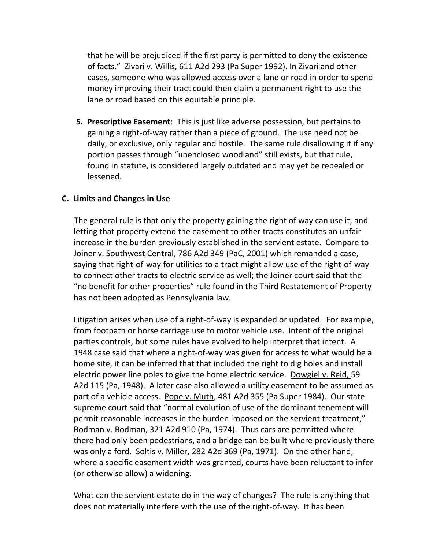that he will be prejudiced if the first party is permitted to deny the existence of facts." Zivari v. Willis, 611 A2d 293 (Pa Super 1992). In Zivari and other cases, someone who was allowed access over a lane or road in order to spend money improving their tract could then claim a permanent right to use the lane or road based on this equitable principle.

 **5. Prescriptive Easement**: This is just like adverse possession, but pertains to gaining a right‐of‐way rather than a piece of ground. The use need not be daily, or exclusive, only regular and hostile. The same rule disallowing it if any portion passes through "unenclosed woodland" still exists, but that rule, found in statute, is considered largely outdated and may yet be repealed or lessened.

## **C. Limits and Changes in Use**

 The general rule is that only the property gaining the right of way can use it, and letting that property extend the easement to other tracts constitutes an unfair increase in the burden previously established in the servient estate. Compare to Joiner v. Southwest Central, 786 A2d 349 (PaC, 2001) which remanded a case, saying that right‐of‐way for utilities to a tract might allow use of the right‐of‐way to connect other tracts to electric service as well; the Joiner court said that the "no benefit for other properties" rule found in the Third Restatement of Property has not been adopted as Pennsylvania law.

Litigation arises when use of a right‐of‐way is expanded or updated. For example, from footpath or horse carriage use to motor vehicle use. Intent of the original parties controls, but some rules have evolved to help interpret that intent. A 1948 case said that where a right‐of‐way was given for access to what would be a home site, it can be inferred that that included the right to dig holes and install electric power line poles to give the home electric service. Dowgiel v. Reid, 59 A2d 115 (Pa, 1948). A later case also allowed a utility easement to be assumed as part of a vehicle access. Pope v. Muth, 481 A2d 355 (Pa Super 1984). Our state supreme court said that "normal evolution of use of the dominant tenement will permit reasonable increases in the burden imposed on the servient treatment," Bodman v. Bodman, 321 A2d 910 (Pa, 1974). Thus cars are permitted where there had only been pedestrians, and a bridge can be built where previously there was only a ford. Soltis v. Miller, 282 A2d 369 (Pa, 1971). On the other hand, where a specific easement width was granted, courts have been reluctant to infer (or otherwise allow) a widening.

What can the servient estate do in the way of changes? The rule is anything that does not materially interfere with the use of the right‐of‐way. It has been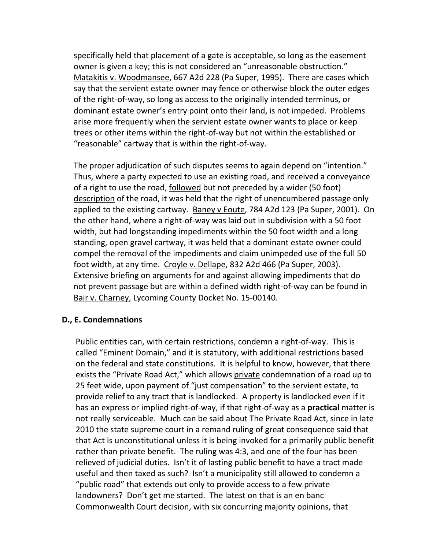specifically held that placement of a gate is acceptable, so long as the easement owner is given a key; this is not considered an "unreasonable obstruction." Matakitis v. Woodmansee, 667 A2d 228 (Pa Super, 1995). There are cases which say that the servient estate owner may fence or otherwise block the outer edges of the right‐of‐way, so long as access to the originally intended terminus, or dominant estate owner's entry point onto their land, is not impeded. Problems arise more frequently when the servient estate owner wants to place or keep trees or other items within the right‐of‐way but not within the established or "reasonable" cartway that is within the right‐of‐way.

The proper adjudication of such disputes seems to again depend on "intention." Thus, where a party expected to use an existing road, and received a conveyance of a right to use the road, followed but not preceded by a wider (50 foot) description of the road, it was held that the right of unencumbered passage only applied to the existing cartway. Baney v Eoute, 784 A2d 123 (Pa Super, 2001). On the other hand, where a right‐of‐way was laid out in subdivision with a 50 foot width, but had longstanding impediments within the 50 foot width and a long standing, open gravel cartway, it was held that a dominant estate owner could compel the removal of the impediments and claim unimpeded use of the full 50 foot width, at any time. Croyle v. Dellape, 832 A2d 466 (Pa Super, 2003). Extensive briefing on arguments for and against allowing impediments that do not prevent passage but are within a defined width right‐of‐way can be found in Bair v. Charney, Lycoming County Docket No. 15‐00140.

# **D., E. Condemnations**

Public entities can, with certain restrictions, condemn a right‐of‐way. This is called "Eminent Domain," and it is statutory, with additional restrictions based on the federal and state constitutions. It is helpful to know, however, that there exists the "Private Road Act," which allows private condemnation of a road up to 25 feet wide, upon payment of "just compensation" to the servient estate, to provide relief to any tract that is landlocked. A property is landlocked even if it has an express or implied right‐of‐way, if that right‐of‐way as a **practical** matter is not really serviceable. Much can be said about The Private Road Act, since in late 2010 the state supreme court in a remand ruling of great consequence said that that Act is unconstitutional unless it is being invoked for a primarily public benefit rather than private benefit. The ruling was 4:3, and one of the four has been relieved of judicial duties. Isn't it of lasting public benefit to have a tract made useful and then taxed as such? Isn't a municipality still allowed to condemn a "public road" that extends out only to provide access to a few private landowners? Don't get me started. The latest on that is an en banc Commonwealth Court decision, with six concurring majority opinions, that